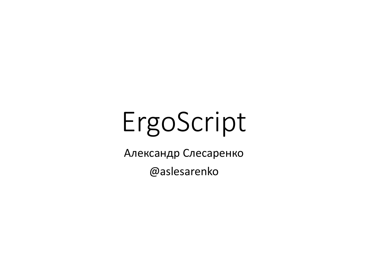# ErgoScript

Александр Слесаренко

@aslesarenko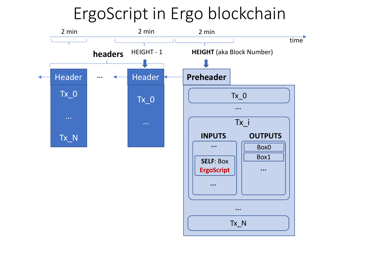### ErgoScript in Ergo blockchain

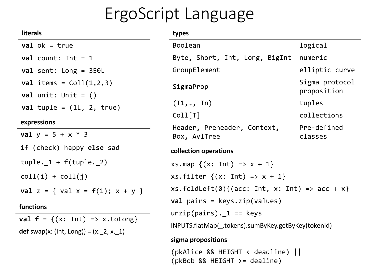### ErgoScript Language

| <b>literals</b>                                                        | types                                                                                      |                               |
|------------------------------------------------------------------------|--------------------------------------------------------------------------------------------|-------------------------------|
| $val$ ok = true                                                        | Boolean                                                                                    | logical                       |
| $val$ count: Int = 1                                                   | Byte, Short, Int, Long, BigInt                                                             | numeric                       |
| val sent: Long = $350L$                                                | GroupElement                                                                               | elliptic curve                |
| val items = $Coll(1,2,3)$<br>$val$ unit: Unit = $()$                   | SigmaProp                                                                                  | Sigma protocol<br>proposition |
| val tuple = $(1L, 2, true)$                                            | (T1,, Th)<br>Coll[T]                                                                       | tuples<br>collections         |
| expressions<br><b>val</b> $y = 5 + x * 3$                              | Header, Preheader, Context,<br>Box, AvlTree                                                | Pre-defined<br>classes        |
| <b>if</b> (check) happy else sad                                       | collection operations                                                                      |                               |
| $tuple.$ $1 + f(tuple.$ 2)                                             | $xs.png { (x: Int) => x + 1 }$                                                             |                               |
| $coll(i) + coll(j)$                                                    | $xs.filter {\x; Int} = x + 1$                                                              |                               |
| <b>val</b> $z = \{ val x = f(1); x + y \}$<br>functions                | $xs.foldLeft(0){(acc: Int, x: Int) \Rightarrow acc + x}$<br>$val$ pairs = keys.zip(values) |                               |
| $\blacksquare$ and a set of $\blacksquare$ and a set of $\blacksquare$ | $unzip(pairs)$ . 1 == keys                                                                 |                               |

**val**  $f = \{(x: Int) \Rightarrow x.tolong\}$ **def** swap(x: (Int, Long)) = (x.\_2, x.\_1)

INPUTS.flatMap(\_.tokens).sumByKey.getByKey(tokenId)

#### **sigma propositions**

(pkAlice && HEIGHT < deadline) || (pkBob && HEIGHT >= dealine)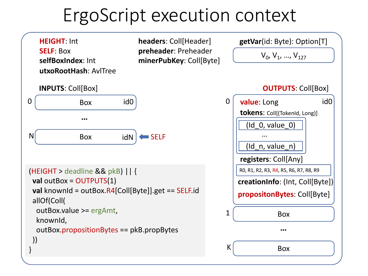# ErgoScript execution context

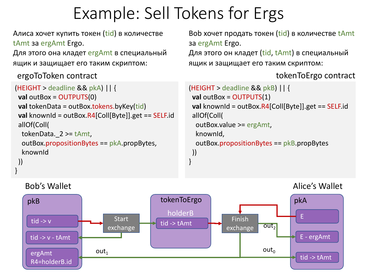### Example: Sell Tokens for Ergs

Алиса хочет купить токен (tid) в количестве tAmt за ergAmt Ergo.

Для этого она кладет ergAmt в специальный ящик и защищает его таким скриптом:

ergoToToken contract tokenToErgo contract

}

```
(HEIGHT > deadline && pkA) || {
val outBox = OUTPUTS(0)
val tokenData = outBox.tokens.byKey(tid)
val knownId = outBox.R4[Coll[Byte]].get == SELF.id
 allOf(Coll(
 tokenData._2 >= tAmt,
  outBox.propositionBytes == pkA.propBytes,
  knownId
))
```
Bob хочет продать токен (tid) в количестве tAmt за ergAmt Ergo.

Для этого он кладет (tid, tAmt) в специальный ящик и защищает его таким скриптом:

```
(HEIGHT > deadline && pkB) || {
val outBox = OUTPUTS(1)
val knownId = outBox.R4[Coll[Byte]].get == SELF.id
 allOf(Coll(
  outBox.value >= ergAmt,
  knownId,
  outBox.propositionBytes == pkB.propBytes
))
}
```